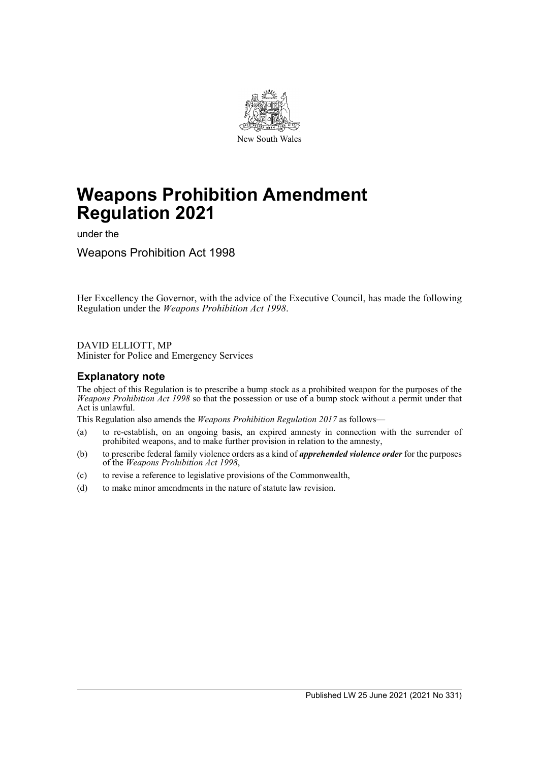

# **Weapons Prohibition Amendment Regulation 2021**

under the

Weapons Prohibition Act 1998

Her Excellency the Governor, with the advice of the Executive Council, has made the following Regulation under the *Weapons Prohibition Act 1998*.

DAVID ELLIOTT, MP Minister for Police and Emergency Services

## **Explanatory note**

The object of this Regulation is to prescribe a bump stock as a prohibited weapon for the purposes of the *Weapons Prohibition Act 1998* so that the possession or use of a bump stock without a permit under that Act is unlawful.

This Regulation also amends the *Weapons Prohibition Regulation 2017* as follows—

- (a) to re-establish, on an ongoing basis, an expired amnesty in connection with the surrender of prohibited weapons, and to make further provision in relation to the amnesty,
- (b) to prescribe federal family violence orders as a kind of *apprehended violence order* for the purposes of the *Weapons Prohibition Act 1998*,
- (c) to revise a reference to legislative provisions of the Commonwealth,
- (d) to make minor amendments in the nature of statute law revision.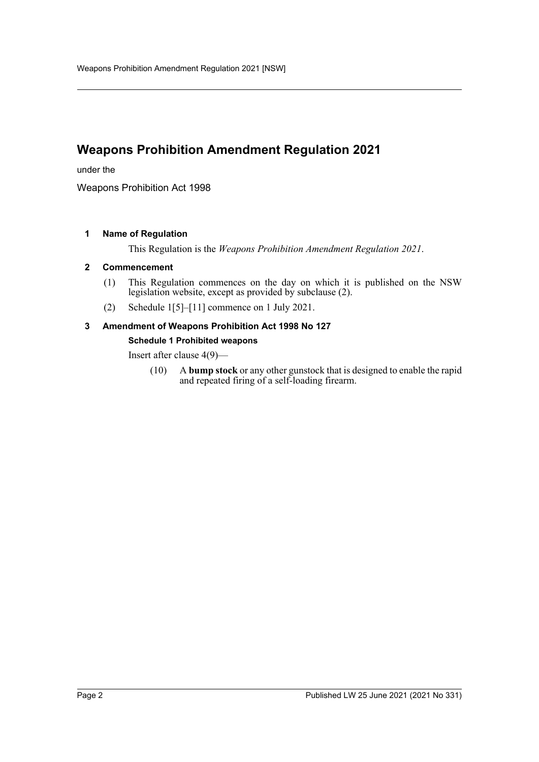# **Weapons Prohibition Amendment Regulation 2021**

under the

Weapons Prohibition Act 1998

#### **1 Name of Regulation**

This Regulation is the *Weapons Prohibition Amendment Regulation 2021*.

#### **2 Commencement**

- (1) This Regulation commences on the day on which it is published on the NSW legislation website, except as provided by subclause (2).
- (2) Schedule 1[5]–[11] commence on 1 July 2021.

# **3 Amendment of Weapons Prohibition Act 1998 No 127**

#### **Schedule 1 Prohibited weapons**

Insert after clause 4(9)—

(10) A **bump stock** or any other gunstock that is designed to enable the rapid and repeated firing of a self-loading firearm.